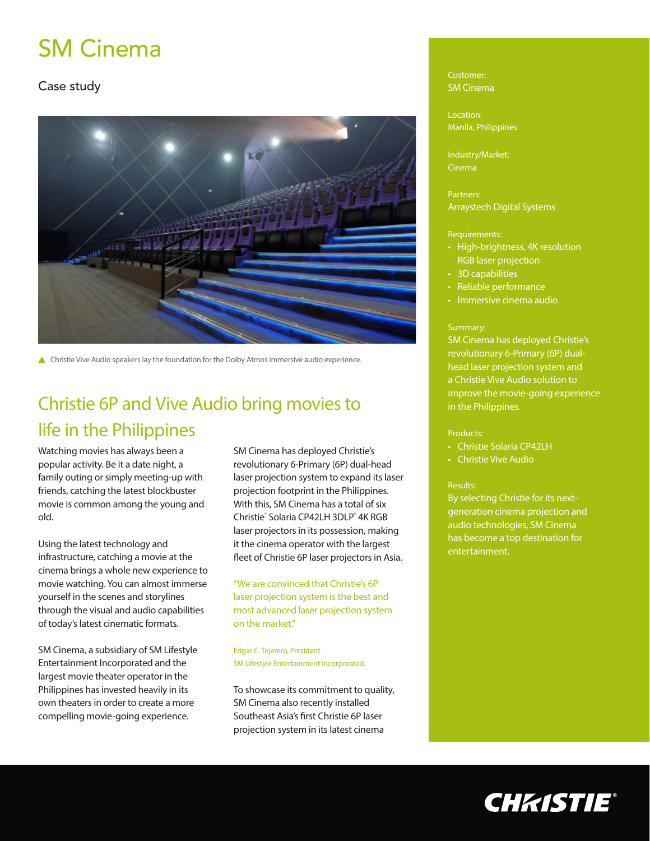# SM Cinema

### Case study



▲ Christie Vive Audio speakers lay the foundation for the Dolby Atmos immersive audio experience.

## Christie 6P and Vive Audio bring movies to life in the Philippines

Watching movies has always been a popular activity. Be it a date night, a family outing or simply meeting-up with friends, catching the latest blockbuster movie is common among the young and old.

Using the latest technology and infrastructure, catching a movie at the cinema brings a whole new experience to movie watching. You can almost immerse yourself in the scenes and storylines through the visual and audio capabilities of today's latest cinematic formats.

SM Cinema, a subsidiary of SM Lifestyle Entertainment Incorporated and the largest movie theater operator in the Philippines has invested heavily in its own theaters in order to create a more compelling movie-going experience.

SM Cinema has deployed Christie's revolutionary 6-Primary (6P) dual-head laser projection system to expand its laser projection footprint in the Philippines. With this, SM Cinema has a total of six Christie® Solaria CP42LH 3DLP® 4K RGB laser projectors in its possession, making it the cinema operator with the largest fleet of Christie 6P laser projectors in Asia.

"We are convinced that Christie's 6P laser projection system is the best and most advanced laser projection system on the market."

Edgar C. Tejerero, President SM Lifestyle Entertainment Incorporated.

To showcase its commitment to quality, SM Cinema also recently installed Southeast Asia's first Christie 6P laser projection system in its latest cinema

#### Customer: SM Cinema

Location: Manila, Philippines

Industry/Market: Cinema

Partners: Arraystech Digital Systems

#### Requirements:

- High-brightness, 4K resolution RGB laser projection
- 3D capabilities
- Reliable performance
- Immersive cinema audio

#### Summary:

SM Cinema has deployed Christie's revolutionary 6-Primary (6P) dualhead laser projection system and a Christie Vive Audio solution to improve the movie-going experience in the Philippines.

#### Products:

- Christie Solaria CP42LH
- Christie Vive Audio

#### Results:

By selecting Christie for its nextgeneration cinema projection and audio technologies, SM Cinema has become a top destination for entertainment.